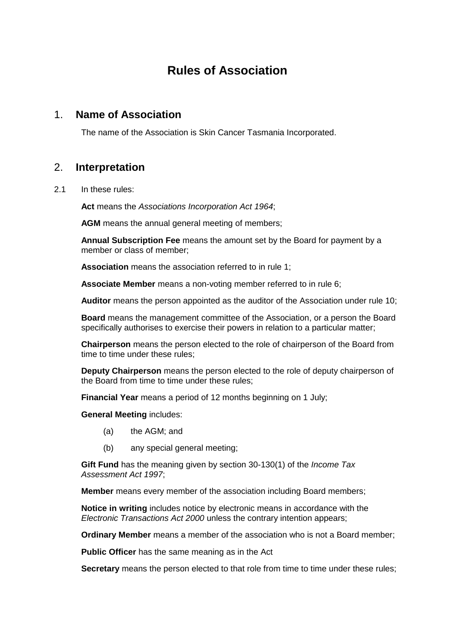# **Rules of Association**

#### <span id="page-0-0"></span>1. **Name of Association**

The name of the Association is Skin Cancer Tasmania Incorporated.

## <span id="page-0-1"></span>2. **Interpretation**

2.1 In these rules:

**Act** means the *Associations Incorporation Act 1964*;

AGM means the annual general meeting of members;

**Annual Subscription Fee** means the amount set by the Board for payment by a member or class of member;

**Association** means the association referred to in rule 1;

**Associate Member** means a non-voting member referred to in rule 6;

**Auditor** means the person appointed as the auditor of the Association under rule 10;

**Board** means the management committee of the Association, or a person the Board specifically authorises to exercise their powers in relation to a particular matter;

**Chairperson** means the person elected to the role of chairperson of the Board from time to time under these rules;

**Deputy Chairperson** means the person elected to the role of deputy chairperson of the Board from time to time under these rules;

**Financial Year** means a period of 12 months beginning on 1 July;

**General Meeting** includes:

- (a) the AGM; and
- (b) any special general meeting;

**Gift Fund** has the meaning given by section 30-130(1) of the *Income Tax Assessment Act 1997*;

**Member** means every member of the association including Board members;

**Notice in writing** includes notice by electronic means in accordance with the *Electronic Transactions Act 2000* unless the contrary intention appears;

**Ordinary Member** means a member of the association who is not a Board member;

**Public Officer** has the same meaning as in the Act

**Secretary** means the person elected to that role from time to time under these rules;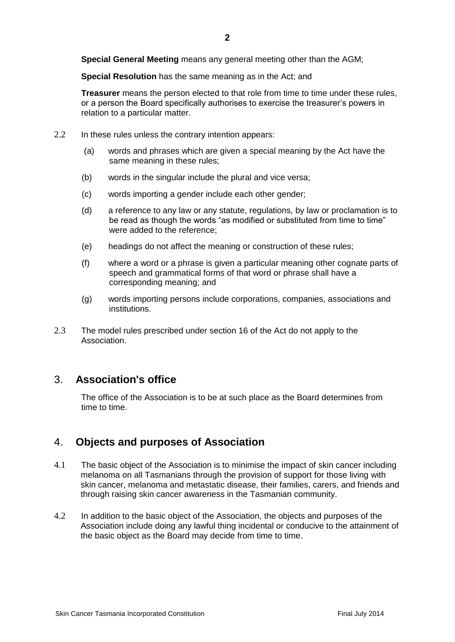**Special General Meeting** means any general meeting other than the AGM;

**Special Resolution** has the same meaning as in the Act; and

**Treasurer** means the person elected to that role from time to time under these rules, or a person the Board specifically authorises to exercise the treasurer's powers in relation to a particular matter.

- 2.2 In these rules unless the contrary intention appears:
	- (a) words and phrases which are given a special meaning by the Act have the same meaning in these rules;
	- (b) words in the singular include the plural and vice versa;
	- (c) words importing a gender include each other gender;
	- (d) a reference to any law or any statute, regulations, by law or proclamation is to be read as though the words "as modified or substituted from time to time" were added to the reference;
	- (e) headings do not affect the meaning or construction of these rules;
	- (f) where a word or a phrase is given a particular meaning other cognate parts of speech and grammatical forms of that word or phrase shall have a corresponding meaning; and
	- (g) words importing persons include corporations, companies, associations and institutions.
- 2.3 The model rules prescribed under section 16 of the Act do not apply to the Association.

## <span id="page-1-0"></span>3. **Association's office**

The office of the Association is to be at such place as the Board determines from time to time.

## <span id="page-1-1"></span>4. **Objects and purposes of Association**

- 4.1 The basic object of the Association is to minimise the impact of skin cancer including melanoma on all Tasmanians through the provision of support for those living with skin cancer, melanoma and metastatic disease, their families, carers, and friends and through raising skin cancer awareness in the Tasmanian community.
- <span id="page-1-2"></span>4.2 In addition to the basic object of the Association, the objects and purposes of the Association include doing any lawful thing incidental or conducive to the attainment of the basic object as the Board may decide from time to time.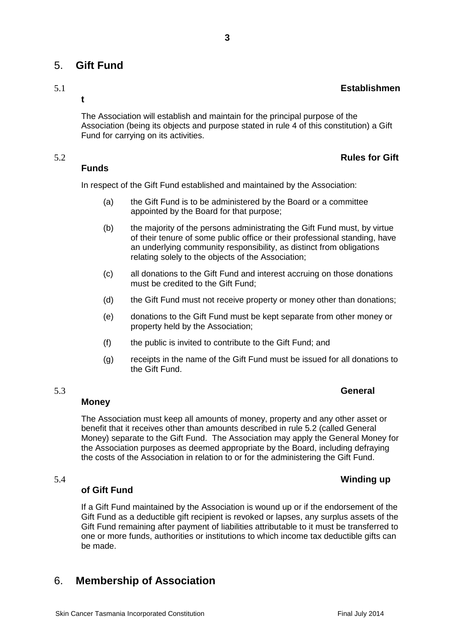## 5. **Gift Fund**

**t**

The Association will establish and maintain for the principal purpose of the Association (being its objects and purpose stated in rule 4 of this constitution) a Gift Fund for carrying on its activities.

#### 5.2 **Rules for Gift**

#### **Funds**

In respect of the Gift Fund established and maintained by the Association:

- (a) the Gift Fund is to be administered by the Board or a committee appointed by the Board for that purpose;
- (b) the majority of the persons administrating the Gift Fund must, by virtue of their tenure of some public office or their professional standing, have an underlying community responsibility, as distinct from obligations relating solely to the objects of the Association;
- (c) all donations to the Gift Fund and interest accruing on those donations must be credited to the Gift Fund;
- (d) the Gift Fund must not receive property or money other than donations;
- (e) donations to the Gift Fund must be kept separate from other money or property held by the Association;
- (f) the public is invited to contribute to the Gift Fund; and
- (g) receipts in the name of the Gift Fund must be issued for all donations to the Gift Fund.

#### **Money**

The Association must keep all amounts of money, property and any other asset or benefit that it receives other than amounts described in rule 5.2 (called General Money) separate to the Gift Fund. The Association may apply the General Money for the Association purposes as deemed appropriate by the Board, including defraying the costs of the Association in relation to or for the administering the Gift Fund.

#### 5.4 **Winding up**

#### **of Gift Fund**

If a Gift Fund maintained by the Association is wound up or if the endorsement of the Gift Fund as a deductible gift recipient is revoked or lapses, any surplus assets of the Gift Fund remaining after payment of liabilities attributable to it must be transferred to one or more funds, authorities or institutions to which income tax deductible gifts can be made.

## <span id="page-2-0"></span>6. **Membership of Association**

#### 5.3 **General**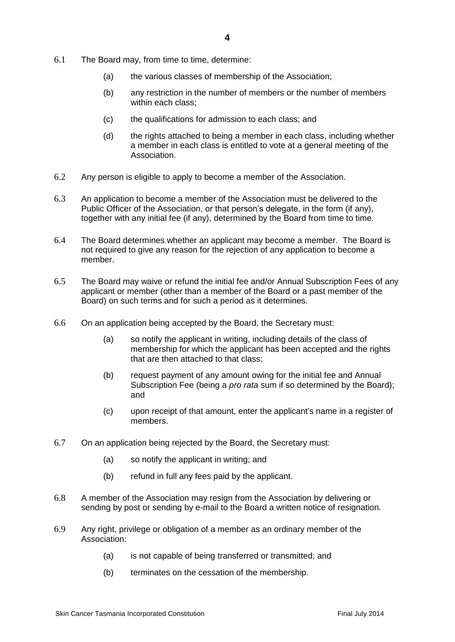- 6.1 The Board may, from time to time, determine:
	- (a) the various classes of membership of the Association;
	- (b) any restriction in the number of members or the number of members within each class;
	- (c) the qualifications for admission to each class; and
	- (d) the rights attached to being a member in each class, including whether a member in each class is entitled to vote at a general meeting of the Association.
- 6.2 Any person is eligible to apply to become a member of the Association.
- 6.3 An application to become a member of the Association must be delivered to the Public Officer of the Association, or that person's delegate, in the form (if any), together with any initial fee (if any), determined by the Board from time to time.
- 6.4 The Board determines whether an applicant may become a member. The Board is not required to give any reason for the rejection of any application to become a member.
- 6.5 The Board may waive or refund the initial fee and/or Annual Subscription Fees of any applicant or member (other than a member of the Board or a past member of the Board) on such terms and for such a period as it determines.
- 6.6 On an application being accepted by the Board, the Secretary must:
	- (a) so notify the applicant in writing, including details of the class of membership for which the applicant has been accepted and the rights that are then attached to that class;
	- (b) request payment of any amount owing for the initial fee and Annual Subscription Fee (being a *pro rata* sum if so determined by the Board); and
	- (c) upon receipt of that amount, enter the applicant's name in a register of members.
- 6.7 On an application being rejected by the Board, the Secretary must:
	- (a) so notify the applicant in writing; and
	- (b) refund in full any fees paid by the applicant.
- 6.8 A member of the Association may resign from the Association by delivering or sending by post or sending by e-mail to the Board a written notice of resignation.
- 6.9 Any right, privilege or obligation of a member as an ordinary member of the Association:
	- (a) is not capable of being transferred or transmitted; and
	- (b) terminates on the cessation of the membership.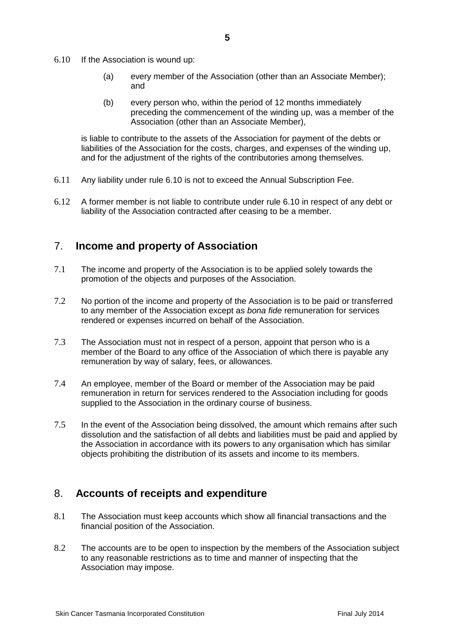- 6.10 If the Association is wound up:
	- (a) every member of the Association (other than an Associate Member); and
	- (b) every person who, within the period of 12 months immediately preceding the commencement of the winding up, was a member of the Association (other than an Associate Member),

is liable to contribute to the assets of the Association for payment of the debts or liabilities of the Association for the costs, charges, and expenses of the winding up, and for the adjustment of the rights of the contributories among themselves.

- 6.11 Any liability under rule 6.10 is not to exceed the Annual Subscription Fee.
- 6.12 A former member is not liable to contribute under rule 6.10 in respect of any debt or liability of the Association contracted after ceasing to be a member.

## <span id="page-4-0"></span>7. **Income and property of Association**

- 7.1 The income and property of the Association is to be applied solely towards the promotion of the objects and purposes of the Association.
- 7.2 No portion of the income and property of the Association is to be paid or transferred to any member of the Association except as *bona fide* remuneration for services rendered or expenses incurred on behalf of the Association.
- 7.3 The Association must not in respect of a person, appoint that person who is a member of the Board to any office of the Association of which there is payable any remuneration by way of salary, fees, or allowances.
- 7.4 An employee, member of the Board or member of the Association may be paid remuneration in return for services rendered to the Association including for goods supplied to the Association in the ordinary course of business.
- 7.5 In the event of the Association being dissolved, the amount which remains after such dissolution and the satisfaction of all debts and liabilities must be paid and applied by the Association in accordance with its powers to any organisation which has similar objects prohibiting the distribution of its assets and income to its members.

## <span id="page-4-1"></span>8. **Accounts of receipts and expenditure**

- 8.1 The Association must keep accounts which show all financial transactions and the financial position of the Association.
- 8.2 The accounts are to be open to inspection by the members of the Association subject to any reasonable restrictions as to time and manner of inspecting that the Association may impose.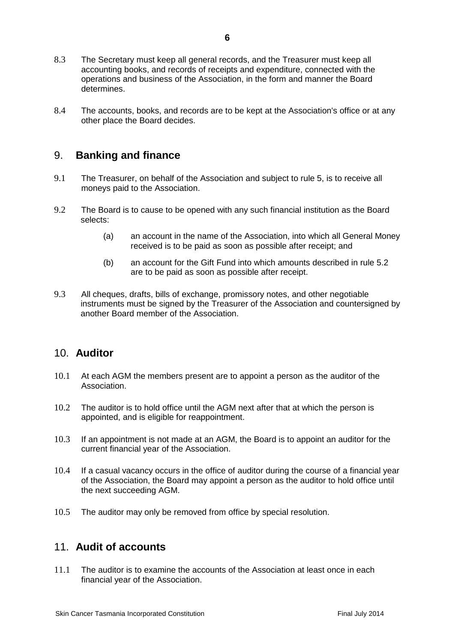- 8.3 The Secretary must keep all general records, and the Treasurer must keep all accounting books, and records of receipts and expenditure, connected with the operations and business of the Association, in the form and manner the Board determines.
- 8.4 The accounts, books, and records are to be kept at the Association's office or at any other place the Board decides.

#### <span id="page-5-0"></span>9. **Banking and finance**

- 9.1 The Treasurer, on behalf of the Association and subject to rule 5, is to receive all moneys paid to the Association.
- 9.2 The Board is to cause to be opened with any such financial institution as the Board selects:
	- (a) an account in the name of the Association, into which all General Money received is to be paid as soon as possible after receipt; and
	- (b) an account for the Gift Fund into which amounts described in rule 5.2 are to be paid as soon as possible after receipt.
- 9.3 All cheques, drafts, bills of exchange, promissory notes, and other negotiable instruments must be signed by the Treasurer of the Association and countersigned by another Board member of the Association.

#### <span id="page-5-1"></span>10. **Auditor**

- 10.1 At each AGM the members present are to appoint a person as the auditor of the Association.
- 10.2 The auditor is to hold office until the AGM next after that at which the person is appointed, and is eligible for reappointment.
- 10.3 If an appointment is not made at an AGM, the Board is to appoint an auditor for the current financial year of the Association.
- 10.4 If a casual vacancy occurs in the office of auditor during the course of a financial year of the Association, the Board may appoint a person as the auditor to hold office until the next succeeding AGM.
- 10.5 The auditor may only be removed from office by special resolution.

#### <span id="page-5-2"></span>11. **Audit of accounts**

11.1 The auditor is to examine the accounts of the Association at least once in each financial year of the Association.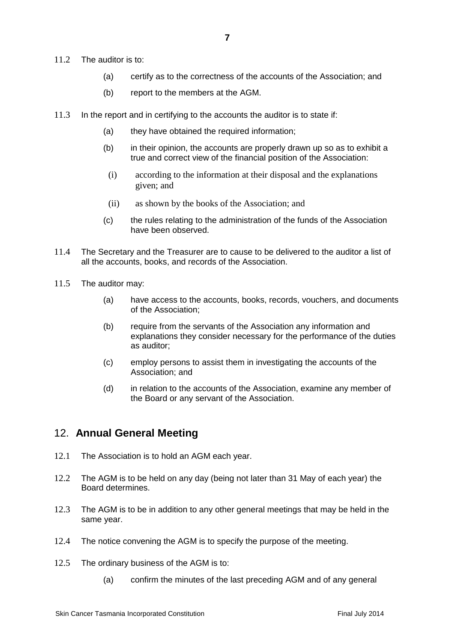- 11.2 The auditor is to:
	- (a) certify as to the correctness of the accounts of the Association; and
	- (b) report to the members at the AGM.
- 11.3 In the report and in certifying to the accounts the auditor is to state if:
	- (a) they have obtained the required information;
	- (b) in their opinion, the accounts are properly drawn up so as to exhibit a true and correct view of the financial position of the Association:
	- (i) according to the information at their disposal and the explanations given; and
	- (ii) as shown by the books of the Association; and
	- (c) the rules relating to the administration of the funds of the Association have been observed.
- 11.4 The Secretary and the Treasurer are to cause to be delivered to the auditor a list of all the accounts, books, and records of the Association.
- 11.5 The auditor may:
	- (a) have access to the accounts, books, records, vouchers, and documents of the Association;
	- (b) require from the servants of the Association any information and explanations they consider necessary for the performance of the duties as auditor;
	- (c) employ persons to assist them in investigating the accounts of the Association; and
	- (d) in relation to the accounts of the Association, examine any member of the Board or any servant of the Association.

## <span id="page-6-0"></span>12. **Annual General Meeting**

- 12.1 The Association is to hold an AGM each year.
- 12.2 The AGM is to be held on any day (being not later than 31 May of each year) the Board determines.
- 12.3 The AGM is to be in addition to any other general meetings that may be held in the same year.
- 12.4 The notice convening the AGM is to specify the purpose of the meeting.
- 12.5 The ordinary business of the AGM is to:
	- (a) confirm the minutes of the last preceding AGM and of any general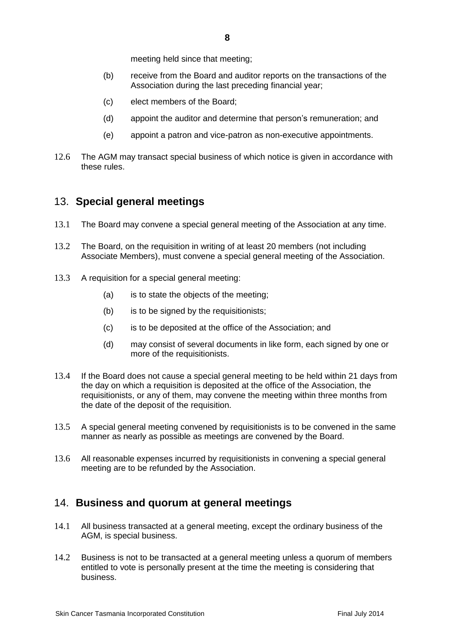- (b) receive from the Board and auditor reports on the transactions of the Association during the last preceding financial year;
- (c) elect members of the Board;
- (d) appoint the auditor and determine that person's remuneration; and
- (e) appoint a patron and vice-patron as non-executive appointments.
- 12.6 The AGM may transact special business of which notice is given in accordance with these rules.

## <span id="page-7-0"></span>13. **Special general meetings**

- 13.1 The Board may convene a special general meeting of the Association at any time.
- 13.2 The Board, on the requisition in writing of at least 20 members (not including Associate Members), must convene a special general meeting of the Association.
- 13.3 A requisition for a special general meeting:
	- (a) is to state the objects of the meeting;
	- (b) is to be signed by the requisitionists;
	- (c) is to be deposited at the office of the Association; and
	- (d) may consist of several documents in like form, each signed by one or more of the requisitionists.
- 13.4 If the Board does not cause a special general meeting to be held within 21 days from the day on which a requisition is deposited at the office of the Association, the requisitionists, or any of them, may convene the meeting within three months from the date of the deposit of the requisition.
- 13.5 A special general meeting convened by requisitionists is to be convened in the same manner as nearly as possible as meetings are convened by the Board.
- 13.6 All reasonable expenses incurred by requisitionists in convening a special general meeting are to be refunded by the Association.

## <span id="page-7-1"></span>14. **Business and quorum at general meetings**

- 14.1 All business transacted at a general meeting, except the ordinary business of the AGM, is special business.
- 14.2 Business is not to be transacted at a general meeting unless a quorum of members entitled to vote is personally present at the time the meeting is considering that business.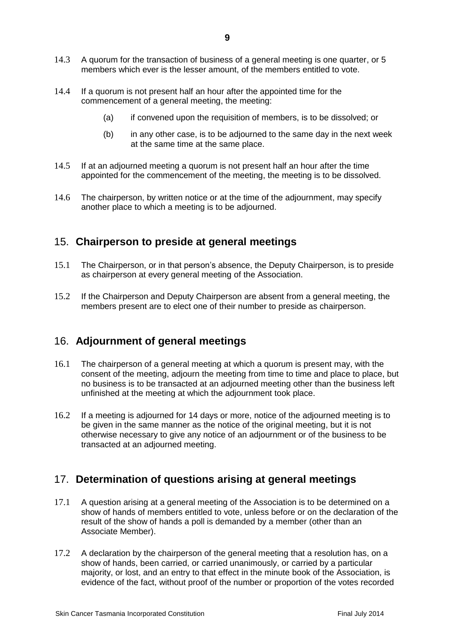- 14.4 If a quorum is not present half an hour after the appointed time for the commencement of a general meeting, the meeting:
	- (a) if convened upon the requisition of members, is to be dissolved; or
	- (b) in any other case, is to be adjourned to the same day in the next week at the same time at the same place.
- 14.5 If at an adjourned meeting a quorum is not present half an hour after the time appointed for the commencement of the meeting, the meeting is to be dissolved.
- 14.6 The chairperson, by written notice or at the time of the adjournment, may specify another place to which a meeting is to be adjourned.

## <span id="page-8-0"></span>15. **Chairperson to preside at general meetings**

- 15.1 The Chairperson, or in that person's absence, the Deputy Chairperson, is to preside as chairperson at every general meeting of the Association.
- 15.2 If the Chairperson and Deputy Chairperson are absent from a general meeting, the members present are to elect one of their number to preside as chairperson.

## <span id="page-8-1"></span>16. **Adjournment of general meetings**

- 16.1 The chairperson of a general meeting at which a quorum is present may, with the consent of the meeting, adjourn the meeting from time to time and place to place, but no business is to be transacted at an adjourned meeting other than the business left unfinished at the meeting at which the adjournment took place.
- 16.2 If a meeting is adjourned for 14 days or more, notice of the adjourned meeting is to be given in the same manner as the notice of the original meeting, but it is not otherwise necessary to give any notice of an adjournment or of the business to be transacted at an adjourned meeting.

## <span id="page-8-2"></span>17. **Determination of questions arising at general meetings**

- 17.1 A question arising at a general meeting of the Association is to be determined on a show of hands of members entitled to vote, unless before or on the declaration of the result of the show of hands a poll is demanded by a member (other than an Associate Member).
- 17.2 A declaration by the chairperson of the general meeting that a resolution has, on a show of hands, been carried, or carried unanimously, or carried by a particular majority, or lost, and an entry to that effect in the minute book of the Association, is evidence of the fact, without proof of the number or proportion of the votes recorded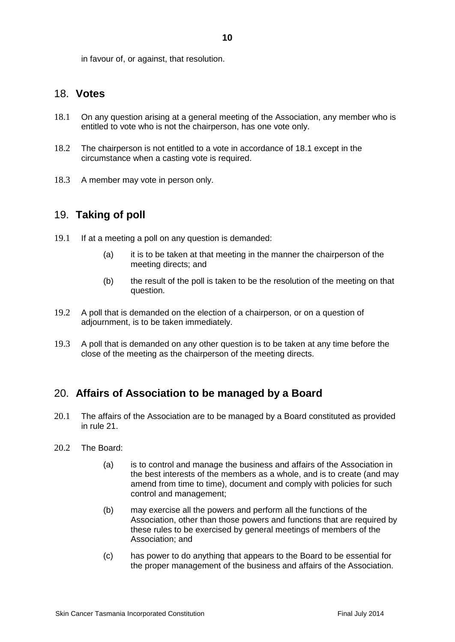#### <span id="page-9-0"></span>18. **Votes**

- 18.1 On any question arising at a general meeting of the Association, any member who is entitled to vote who is not the chairperson, has one vote only.
- 18.2 The chairperson is not entitled to a vote in accordance of 18.1 except in the circumstance when a casting vote is required.
- 18.3 A member may vote in person only.

#### <span id="page-9-1"></span>19. **Taking of poll**

- 19.1 If at a meeting a poll on any question is demanded:
	- (a) it is to be taken at that meeting in the manner the chairperson of the meeting directs; and
	- (b) the result of the poll is taken to be the resolution of the meeting on that question.
- 19.2 A poll that is demanded on the election of a chairperson, or on a question of adjournment, is to be taken immediately.
- 19.3 A poll that is demanded on any other question is to be taken at any time before the close of the meeting as the chairperson of the meeting directs.

## <span id="page-9-2"></span>20. **Affairs of Association to be managed by a Board**

- 20.1 The affairs of the Association are to be managed by a Board constituted as provided in rule 21.
- 20.2 The Board:
	- (a) is to control and manage the business and affairs of the Association in the best interests of the members as a whole, and is to create (and may amend from time to time), document and comply with policies for such control and management;
	- (b) may exercise all the powers and perform all the functions of the Association, other than those powers and functions that are required by these rules to be exercised by general meetings of members of the Association; and
	- (c) has power to do anything that appears to the Board to be essential for the proper management of the business and affairs of the Association.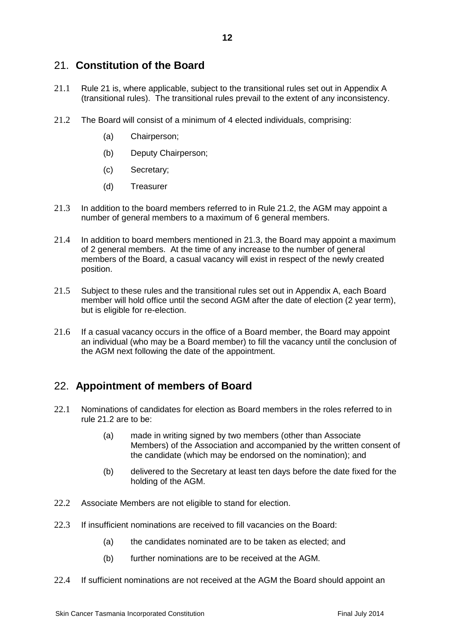## 21. **Constitution of the Board**

- 21.1 Rule 21 is, where applicable, subject to the transitional rules set out in Appendix A (transitional rules). The transitional rules prevail to the extent of any inconsistency.
- 21.2 The Board will consist of a minimum of 4 elected individuals, comprising:
	- (a) Chairperson;
	- (b) Deputy Chairperson;
	- (c) Secretary;
	- (d) Treasurer
- 21.3 In addition to the board members referred to in Rule 21.2, the AGM may appoint a number of general members to a maximum of 6 general members.
- 21.4 In addition to board members mentioned in 21.3, the Board may appoint a maximum of 2 general members. At the time of any increase to the number of general members of the Board, a casual vacancy will exist in respect of the newly created position.
- 21.5 Subject to these rules and the transitional rules set out in Appendix A, each Board member will hold office until the second AGM after the date of election (2 year term), but is eligible for re-election.
- 21.6 If a casual vacancy occurs in the office of a Board member, the Board may appoint an individual (who may be a Board member) to fill the vacancy until the conclusion of the AGM next following the date of the appointment.

## <span id="page-11-0"></span>22. **Appointment of members of Board**

- 22.1 Nominations of candidates for election as Board members in the roles referred to in rule 21.2 are to be:
	- (a) made in writing signed by two members (other than Associate Members) of the Association and accompanied by the written consent of the candidate (which may be endorsed on the nomination); and
	- (b) delivered to the Secretary at least ten days before the date fixed for the holding of the AGM.
- 22.2 Associate Members are not eligible to stand for election.
- 22.3 If insufficient nominations are received to fill vacancies on the Board:
	- (a) the candidates nominated are to be taken as elected; and
	- (b) further nominations are to be received at the AGM.
- 22.4 If sufficient nominations are not received at the AGM the Board should appoint an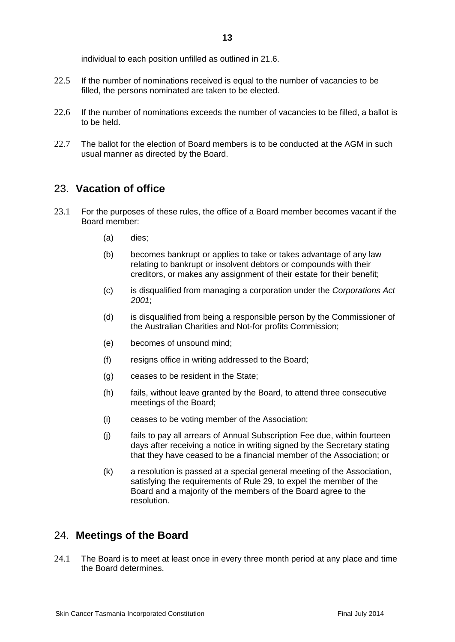individual to each position unfilled as outlined in 21.6.

- 22.5 If the number of nominations received is equal to the number of vacancies to be filled, the persons nominated are taken to be elected.
- 22.6 If the number of nominations exceeds the number of vacancies to be filled, a ballot is to be held.
- 22.7 The ballot for the election of Board members is to be conducted at the AGM in such usual manner as directed by the Board.

#### <span id="page-12-0"></span>23. **Vacation of office**

- 23.1 For the purposes of these rules, the office of a Board member becomes vacant if the Board member:
	- (a) dies;
	- (b) becomes bankrupt or applies to take or takes advantage of any law relating to bankrupt or insolvent debtors or compounds with their creditors, or makes any assignment of their estate for their benefit;
	- (c) is disqualified from managing a corporation under the *Corporations Act 2001*;
	- (d) is disqualified from being a responsible person by the Commissioner of the Australian Charities and Not-for profits Commission;
	- (e) becomes of unsound mind;
	- (f) resigns office in writing addressed to the Board;
	- (g) ceases to be resident in the State;
	- (h) fails, without leave granted by the Board, to attend three consecutive meetings of the Board;
	- (i) ceases to be voting member of the Association;
	- (j) fails to pay all arrears of Annual Subscription Fee due, within fourteen days after receiving a notice in writing signed by the Secretary stating that they have ceased to be a financial member of the Association; or
	- (k) a resolution is passed at a special general meeting of the Association, satisfying the requirements of Rule 29, to expel the member of the Board and a majority of the members of the Board agree to the resolution.

#### <span id="page-12-1"></span>24. **Meetings of the Board**

24.1 The Board is to meet at least once in every three month period at any place and time the Board determines.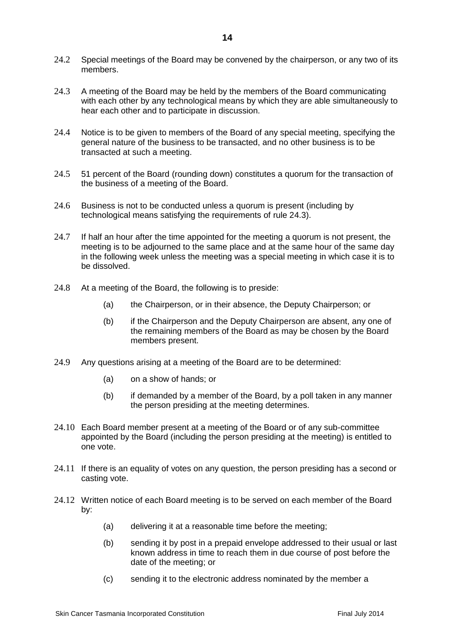- 24.2 Special meetings of the Board may be convened by the chairperson, or any two of its members.
- 24.3 A meeting of the Board may be held by the members of the Board communicating with each other by any technological means by which they are able simultaneously to hear each other and to participate in discussion.
- 24.4 Notice is to be given to members of the Board of any special meeting, specifying the general nature of the business to be transacted, and no other business is to be transacted at such a meeting.
- 24.5 51 percent of the Board (rounding down) constitutes a quorum for the transaction of the business of a meeting of the Board.
- 24.6 Business is not to be conducted unless a quorum is present (including by technological means satisfying the requirements of rule 24.3).
- 24.7 If half an hour after the time appointed for the meeting a quorum is not present, the meeting is to be adjourned to the same place and at the same hour of the same day in the following week unless the meeting was a special meeting in which case it is to be dissolved.
- 24.8 At a meeting of the Board, the following is to preside:
	- (a) the Chairperson, or in their absence, the Deputy Chairperson; or
	- (b) if the Chairperson and the Deputy Chairperson are absent, any one of the remaining members of the Board as may be chosen by the Board members present.
- 24.9 Any questions arising at a meeting of the Board are to be determined:
	- (a) on a show of hands; or
	- (b) if demanded by a member of the Board, by a poll taken in any manner the person presiding at the meeting determines.
- 24.10 Each Board member present at a meeting of the Board or of any sub-committee appointed by the Board (including the person presiding at the meeting) is entitled to one vote.
- 24.11 If there is an equality of votes on any question, the person presiding has a second or casting vote.
- 24.12 Written notice of each Board meeting is to be served on each member of the Board by:
	- (a) delivering it at a reasonable time before the meeting;
	- (b) sending it by post in a prepaid envelope addressed to their usual or last known address in time to reach them in due course of post before the date of the meeting; or
	- (c) sending it to the electronic address nominated by the member a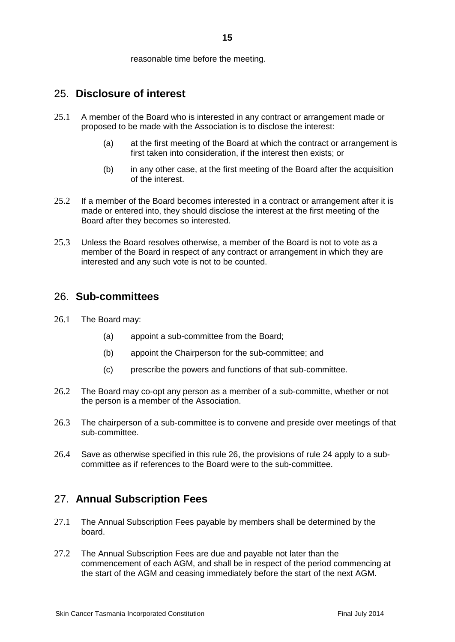reasonable time before the meeting.

#### <span id="page-14-0"></span>25. **Disclosure of interest**

- 25.1 A member of the Board who is interested in any contract or arrangement made or proposed to be made with the Association is to disclose the interest:
	- (a) at the first meeting of the Board at which the contract or arrangement is first taken into consideration, if the interest then exists; or
	- (b) in any other case, at the first meeting of the Board after the acquisition of the interest.
- 25.2 If a member of the Board becomes interested in a contract or arrangement after it is made or entered into, they should disclose the interest at the first meeting of the Board after they becomes so interested.
- 25.3 Unless the Board resolves otherwise, a member of the Board is not to vote as a member of the Board in respect of any contract or arrangement in which they are interested and any such vote is not to be counted.

#### <span id="page-14-1"></span>26. **Sub-committees**

- 26.1 The Board may:
	- (a) appoint a sub-committee from the Board;
	- (b) appoint the Chairperson for the sub-committee; and
	- (c) prescribe the powers and functions of that sub-committee.
- 26.2 The Board may co-opt any person as a member of a sub-committe, whether or not the person is a member of the Association.
- 26.3 The chairperson of a sub-committee is to convene and preside over meetings of that sub-committee.
- 26.4 Save as otherwise specified in this rule 26, the provisions of rule 24 apply to a subcommittee as if references to the Board were to the sub-committee.

## <span id="page-14-2"></span>27. **Annual Subscription Fees**

- 27.1 The Annual Subscription Fees payable by members shall be determined by the board.
- 27.2 The Annual Subscription Fees are due and payable not later than the commencement of each AGM, and shall be in respect of the period commencing at the start of the AGM and ceasing immediately before the start of the next AGM.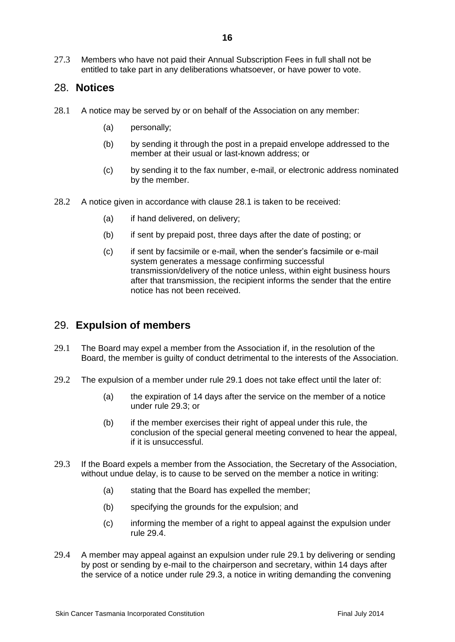27.3 Members who have not paid their Annual Subscription Fees in full shall not be entitled to take part in any deliberations whatsoever, or have power to vote.

#### <span id="page-15-0"></span>28. **Notices**

- 28.1 A notice may be served by or on behalf of the Association on any member:
	- (a) personally;
	- (b) by sending it through the post in a prepaid envelope addressed to the member at their usual or last-known address; or
	- (c) by sending it to the fax number, e-mail, or electronic address nominated by the member.
- 28.2 A notice given in accordance with clause 28.1 is taken to be received:
	- (a) if hand delivered, on delivery;
	- (b) if sent by prepaid post, three days after the date of posting; or
	- (c) if sent by facsimile or e-mail, when the sender's facsimile or e-mail system generates a message confirming successful transmission/delivery of the notice unless, within eight business hours after that transmission, the recipient informs the sender that the entire notice has not been received.

#### <span id="page-15-1"></span>29. **Expulsion of members**

- 29.1 The Board may expel a member from the Association if, in the resolution of the Board, the member is guilty of conduct detrimental to the interests of the Association.
- 29.2 The expulsion of a member under rule 29.1 does not take effect until the later of:
	- (a) the expiration of 14 days after the service on the member of a notice under rule 29.3; or
	- (b) if the member exercises their right of appeal under this rule, the conclusion of the special general meeting convened to hear the appeal, if it is unsuccessful.
- 29.3 If the Board expels a member from the Association, the Secretary of the Association, without undue delay, is to cause to be served on the member a notice in writing:
	- (a) stating that the Board has expelled the member;
	- (b) specifying the grounds for the expulsion; and
	- (c) informing the member of a right to appeal against the expulsion under rule 29.4.
- 29.4 A member may appeal against an expulsion under rule 29.1 by delivering or sending by post or sending by e-mail to the chairperson and secretary, within 14 days after the service of a notice under rule 29.3, a notice in writing demanding the convening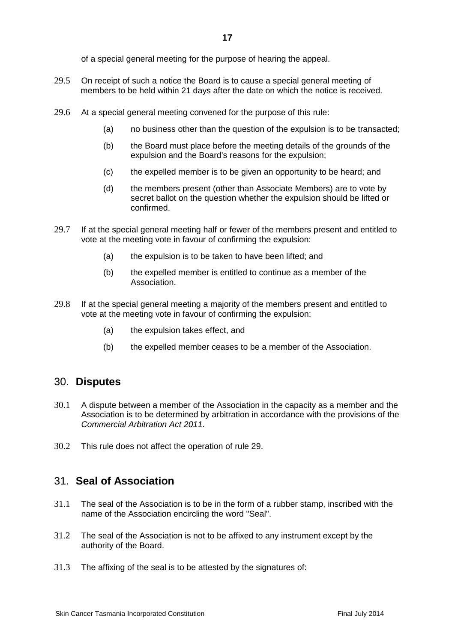of a special general meeting for the purpose of hearing the appeal.

- 29.5 On receipt of such a notice the Board is to cause a special general meeting of members to be held within 21 days after the date on which the notice is received.
- 29.6 At a special general meeting convened for the purpose of this rule:
	- (a) no business other than the question of the expulsion is to be transacted;
	- (b) the Board must place before the meeting details of the grounds of the expulsion and the Board's reasons for the expulsion;
	- (c) the expelled member is to be given an opportunity to be heard; and
	- (d) the members present (other than Associate Members) are to vote by secret ballot on the question whether the expulsion should be lifted or confirmed.
- 29.7 If at the special general meeting half or fewer of the members present and entitled to vote at the meeting vote in favour of confirming the expulsion:
	- (a) the expulsion is to be taken to have been lifted; and
	- (b) the expelled member is entitled to continue as a member of the Association.
- 29.8 If at the special general meeting a majority of the members present and entitled to vote at the meeting vote in favour of confirming the expulsion:
	- (a) the expulsion takes effect, and
	- (b) the expelled member ceases to be a member of the Association.

#### <span id="page-16-0"></span>30. **Disputes**

- 30.1 A dispute between a member of the Association in the capacity as a member and the Association is to be determined by arbitration in accordance with the provisions of the *Commercial Arbitration Act 2011*.
- 30.2 This rule does not affect the operation of rule 29.

#### <span id="page-16-1"></span>31. **Seal of Association**

- 31.1 The seal of the Association is to be in the form of a rubber stamp, inscribed with the name of the Association encircling the word "Seal".
- 31.2 The seal of the Association is not to be affixed to any instrument except by the authority of the Board.
- 31.3 The affixing of the seal is to be attested by the signatures of: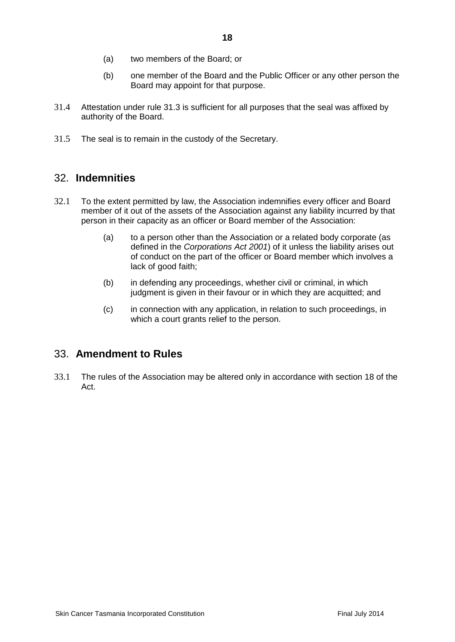- (a) two members of the Board; or
- (b) one member of the Board and the Public Officer or any other person the Board may appoint for that purpose.
- 31.4 Attestation under rule 31.3 is sufficient for all purposes that the seal was affixed by authority of the Board.
- 31.5 The seal is to remain in the custody of the Secretary.

#### <span id="page-17-0"></span>32. **Indemnities**

- 32.1 To the extent permitted by law, the Association indemnifies every officer and Board member of it out of the assets of the Association against any liability incurred by that person in their capacity as an officer or Board member of the Association:
	- (a) to a person other than the Association or a related body corporate (as defined in the *Corporations Act 2001*) of it unless the liability arises out of conduct on the part of the officer or Board member which involves a lack of good faith;
	- (b) in defending any proceedings, whether civil or criminal, in which judgment is given in their favour or in which they are acquitted; and
	- (c) in connection with any application, in relation to such proceedings, in which a court grants relief to the person.

#### <span id="page-17-1"></span>33. **Amendment to Rules**

33.1 The rules of the Association may be altered only in accordance with section 18 of the Act.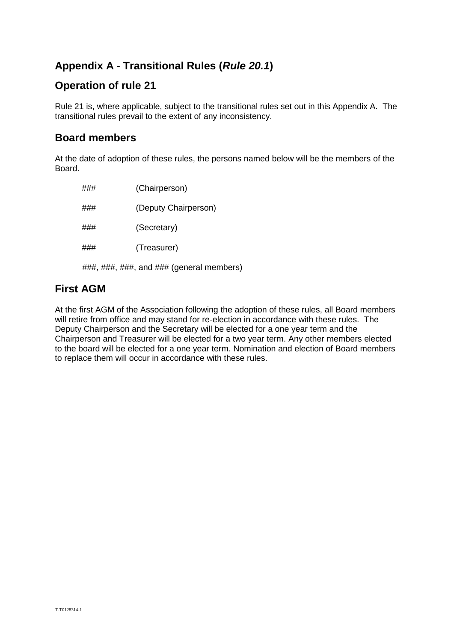## <span id="page-18-0"></span>**Appendix A - Transitional Rules (***Rule 20.1***)**

## **Operation of rule 21**

Rule 21 is, where applicable, subject to the transitional rules set out in this Appendix A. The transitional rules prevail to the extent of any inconsistency.

#### **Board members**

At the date of adoption of these rules, the persons named below will be the members of the Board.

| ### | (Chairperson)        |
|-----|----------------------|
| ### | (Deputy Chairperson) |
| ### | (Secretary)          |
| ### | (Treasurer)          |
|     |                      |

###, ###, ###, and ### (general members)

## **First AGM**

At the first AGM of the Association following the adoption of these rules, all Board members will retire from office and may stand for re-election in accordance with these rules. The Deputy Chairperson and the Secretary will be elected for a one year term and the Chairperson and Treasurer will be elected for a two year term. Any other members elected to the board will be elected for a one year term. Nomination and election of Board members to replace them will occur in accordance with these rules.